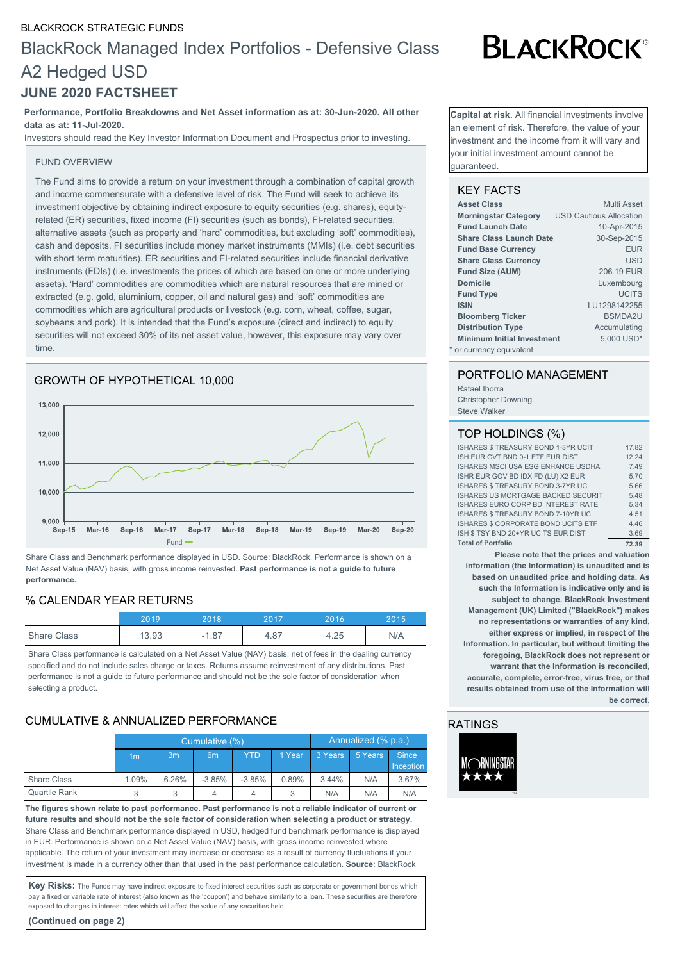## BLACKROCK STRATEGIC FUNDS

# BlackRock Managed Index Portfolios - Defensive Class A2 Hedged USD

# **JUNE 2020 FACTSHEET**

#### **Performance, Portfolio Breakdowns and Net Asset information as at: 30-Jun-2020. All other data as at: 11-Jul-2020.**

Investors should read the Key Investor Information Document and Prospectus prior to investing.

#### FUND OVERVIEW

The Fund aims to provide a return on your investment through a combination of capital growth and income commensurate with a defensive level of risk. The Fund will seek to achieve its investment objective by obtaining indirect exposure to equity securities (e.g. shares), equityrelated (ER) securities, fixed income (FI) securities (such as bonds), FI-related securities, alternative assets (such as property and 'hard' commodities, but excluding 'soft' commodities), cash and deposits. FI securities include money market instruments (MMIs) (i.e. debt securities with short term maturities). ER securities and FI-related securities include financial derivative instruments (FDIs) (i.e. investments the prices of which are based on one or more underlying assets). 'Hard' commodities are commodities which are natural resources that are mined or extracted (e.g. gold, aluminium, copper, oil and natural gas) and 'soft' commodities are commodities which are agricultural products or livestock (e.g. corn, wheat, coffee, sugar, soybeans and pork). It is intended that the Fund's exposure (direct and indirect) to equity securities will not exceed 30% of its net asset value, however, this exposure may vary over time.



Share Class and Benchmark performance displayed in USD. Source: BlackRock. Performance is shown on a Net Asset Value (NAV) basis, with gross income reinvested. **Past performance is not a guide to future performance.**

#### % CALENDAR YEAR RETURNS

|                    | 20 1 C | 2018                             | 2017 | 2016 | 2015 |
|--------------------|--------|----------------------------------|------|------|------|
| <b>Share Class</b> | 3.93   | 1.87<br>$\overline{\phantom{0}}$ | 4.87 | 4.25 | N/A  |

Share Class performance is calculated on a Net Asset Value (NAV) basis, net of fees in the dealing currency specified and do not include sales charge or taxes. Returns assume reinvestment of any distributions. Past performance is not a guide to future performance and should not be the sole factor of consideration when selecting a product.

# CUMULATIVE & ANNUALIZED PERFORMANCE

|               | Cumulative (%) |                |                |            | Annualized (% p.a.) |         |         |                  |
|---------------|----------------|----------------|----------------|------------|---------------------|---------|---------|------------------|
|               | 1m             | 3 <sub>m</sub> | 6 <sub>m</sub> | <b>YTD</b> | 1 Year              | 3 Years | 5 Years | <b>Since</b>     |
|               |                |                |                |            |                     |         |         | <b>Inception</b> |
| Share Class   | 1.09%          | 6.26%          | $-3.85%$       | $-3.85%$   | 0.89%               | 3.44%   | N/A     | 3.67%            |
| Quartile Rank |                | 3              | 4              | 4          | 3                   | N/A     | N/A     | N/A              |

**The figures shown relate to past performance. Past performance is not a reliable indicator of current or future results and should not be the sole factor of consideration when selecting a product or strategy.** Share Class and Benchmark performance displayed in USD, hedged fund benchmark performance is displayed in EUR. Performance is shown on a Net Asset Value (NAV) basis, with gross income reinvested where applicable. The return of your investment may increase or decrease as a result of currency fluctuations if your investment is made in a currency other than that used in the past performance calculation. **Source:** BlackRock

Key Risks: The Funds may have indirect exposure to fixed interest securities such as corporate or government bonds which pay a fixed or variable rate of interest (also known as the 'coupon') and behave similarly to a loan. These securities are therefore exposed to changes in interest rates which will affect the value of any securities held.

**(Continued on page 2)**

**Capital at risk.** All financial investments involve an element of risk. Therefore, the value of your nvestment and the income from it will vary and your initial investment amount cannot be guaranteed.

#### KEY FACTS

| <b>Asset Class</b>                | Multi Asset                    |
|-----------------------------------|--------------------------------|
| <b>Morningstar Category</b>       | <b>USD Cautious Allocation</b> |
| <b>Fund Launch Date</b>           | 10-Apr-2015                    |
| <b>Share Class Launch Date</b>    | 30-Sep-2015                    |
| <b>Fund Base Currency</b>         | <b>EUR</b>                     |
| <b>Share Class Currency</b>       | <b>USD</b>                     |
| <b>Fund Size (AUM)</b>            | 206.19 EUR                     |
| <b>Domicile</b>                   | Luxembourg                     |
| <b>Fund Type</b>                  | <b>UCITS</b>                   |
| <b>ISIN</b>                       | LU1298142255                   |
| <b>Bloomberg Ticker</b>           | <b>BSMDA2U</b>                 |
| <b>Distribution Type</b>          | Accumulating                   |
| <b>Minimum Initial Investment</b> | 5,000 USD*                     |
| * or currency equivalent          |                                |

## PORTFOLIO MANAGEMENT

Rafael Iborra Christopher Downing Steve Walker

#### TOP HOLDINGS (%)

| <b>Total of Portfolio</b>                  | 72.39 |
|--------------------------------------------|-------|
| ISH \$ TSY BND 20+YR UCITS EUR DIST        | 3.69  |
| ISHARES \$ CORPORATE BOND UCITS ETF        | 4.46  |
| ISHARES \$ TREASURY BOND 7-10YR UCI        | 4.51  |
| ISHARES EURO CORP BD INTEREST RATE         | 5.34  |
| <b>ISHARES US MORTGAGE BACKED SECURIT</b>  | 5.48  |
| ISHARES \$ TREASURY BOND 3-7YR UC          | 5.66  |
| ISHR EUR GOV BD IDX FD (LU) X2 EUR         | 5.70  |
| ISHARES MSCI USA ESG ENHANCE USDHA         | 7.49  |
| ISH EUR GVT BND 0-1 ETF EUR DIST           | 12.24 |
| <b>ISHARES \$ TREASURY BOND 1-3YR UCIT</b> | 17.82 |

**Please note that the prices and valuation information (the Information) is unaudited and is based on unaudited price and holding data. As such the Information is indicative only and is subject to change. BlackRock Investment Management (UK) Limited ("BlackRock") makes no representations or warranties of any kind, either express or implied, in respect of the Information. In particular, but without limiting the foregoing, BlackRock does not represent or warrant that the Information is reconciled, accurate, complete, error-free, virus free, or that results obtained from use of the Information will be correct.**

## RATINGS



# **BLACKROCK®**